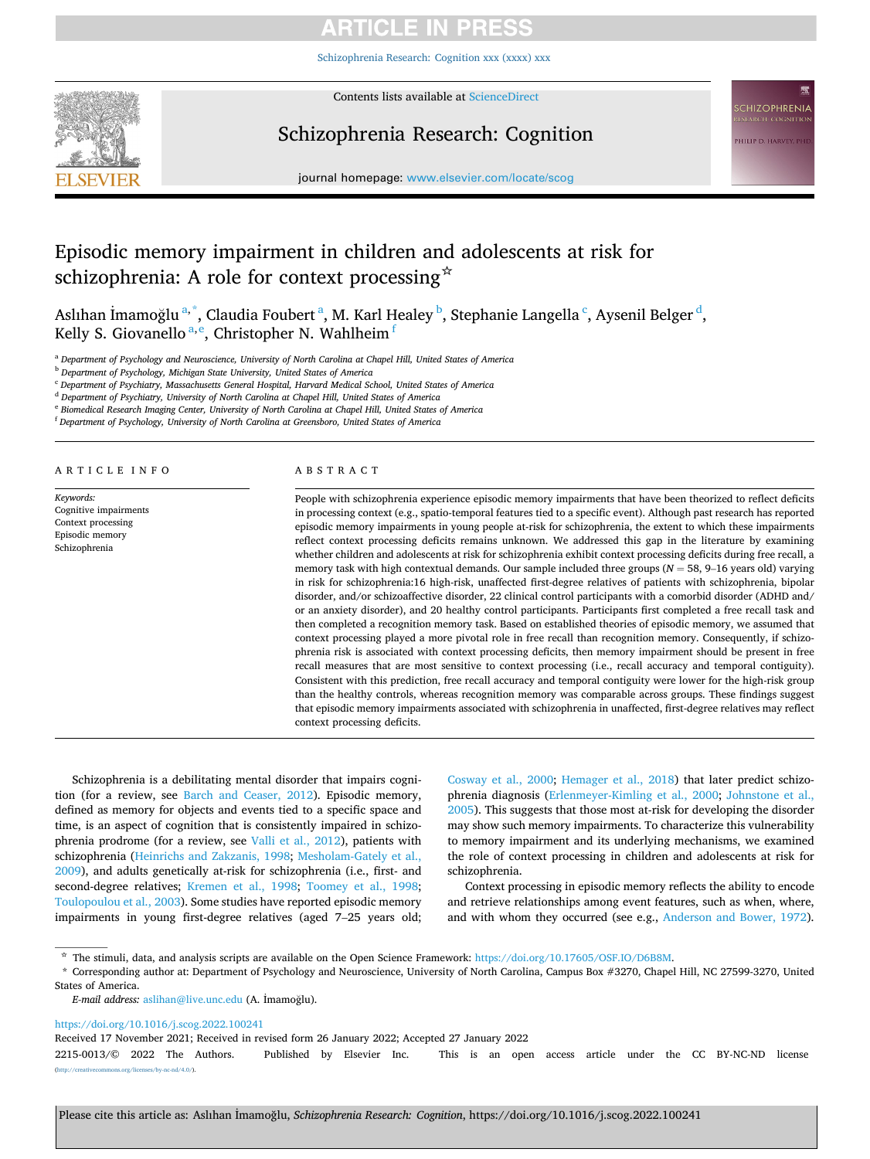# **ARTICLE IN PRESS**

[Schizophrenia Research: Cognition xxx \(xxxx\) xxx](https://doi.org/10.1016/j.scog.2022.100241)



Contents lists available at [ScienceDirect](www.sciencedirect.com/science/journal/22150013)

# Schizophrenia Research: Cognition

**CHIZOPHRENIA PHILIP D. HARVEY, PHI** 

journal homepage: [www.elsevier.com/locate/scog](https://www.elsevier.com/locate/scog)

# Episodic memory impairment in children and adolescents at risk for schizophrenia: A role for context processing  $\dot{\mathbf{x}}$

Aslıhan İmamoğlu <sup>a, \*</sup>, Claudia Foubert <sup>a</sup>, M. Karl Healey <sup>b</sup>, Stephanie Langella <sup>c</sup>, Aysenil Belger <sup>d</sup>, Kelly S. Giovanello $^{\mathrm{a,e}}$ , Christopher N. Wahlheim $^{\mathrm{f}}$ 

<sup>a</sup> *Department of Psychology and Neuroscience, University of North Carolina at Chapel Hill, United States of America* 

<sup>b</sup> *Department of Psychology, Michigan State University, United States of America* 

<sup>c</sup> *Department of Psychiatry, Massachusetts General Hospital, Harvard Medical School, United States of America* 

<sup>d</sup> *Department of Psychiatry, University of North Carolina at Chapel Hill, United States of America* 

<sup>e</sup> *Biomedical Research Imaging Center, University of North Carolina at Chapel Hill, United States of America* 

<sup>f</sup> *Department of Psychology, University of North Carolina at Greensboro, United States of America* 

ARTICLE INFO

*Keywords:*  Cognitive impairments Context processing Episodic memory Schizophrenia

#### ABSTRACT

People with schizophrenia experience episodic memory impairments that have been theorized to reflect deficits in processing context (e.g., spatio-temporal features tied to a specific event). Although past research has reported episodic memory impairments in young people at-risk for schizophrenia, the extent to which these impairments reflect context processing deficits remains unknown. We addressed this gap in the literature by examining whether children and adolescents at risk for schizophrenia exhibit context processing deficits during free recall, a memory task with high contextual demands. Our sample included three groups (*N* = 58, 9–16 years old) varying in risk for schizophrenia:16 high-risk, unaffected first-degree relatives of patients with schizophrenia, bipolar disorder, and/or schizoaffective disorder, 22 clinical control participants with a comorbid disorder (ADHD and/ or an anxiety disorder), and 20 healthy control participants. Participants first completed a free recall task and then completed a recognition memory task. Based on established theories of episodic memory, we assumed that context processing played a more pivotal role in free recall than recognition memory. Consequently, if schizophrenia risk is associated with context processing deficits, then memory impairment should be present in free recall measures that are most sensitive to context processing (i.e., recall accuracy and temporal contiguity). Consistent with this prediction, free recall accuracy and temporal contiguity were lower for the high-risk group than the healthy controls, whereas recognition memory was comparable across groups. These findings suggest that episodic memory impairments associated with schizophrenia in unaffected, first-degree relatives may reflect context processing deficits.

Schizophrenia is a debilitating mental disorder that impairs cognition (for a review, see [Barch and Ceaser, 2012](#page-5-0)). Episodic memory, defined as memory for objects and events tied to a specific space and time, is an aspect of cognition that is consistently impaired in schizophrenia prodrome (for a review, see [Valli et al., 2012](#page-6-0)), patients with schizophrenia [\(Heinrichs and Zakzanis, 1998;](#page-5-0) [Mesholam-Gately et al.,](#page-5-0)  [2009\)](#page-5-0), and adults genetically at-risk for schizophrenia (i.e., first- and second-degree relatives; [Kremen et al., 1998;](#page-5-0) [Toomey et al., 1998](#page-6-0); [Toulopoulou et al., 2003\)](#page-6-0). Some studies have reported episodic memory impairments in young first-degree relatives (aged 7–25 years old;

[Cosway et al., 2000](#page-5-0); [Hemager et al., 2018\)](#page-5-0) that later predict schizophrenia diagnosis ([Erlenmeyer-Kimling et al., 2000](#page-5-0); [Johnstone et al.,](#page-5-0)  [2005\)](#page-5-0). This suggests that those most at-risk for developing the disorder may show such memory impairments. To characterize this vulnerability to memory impairment and its underlying mechanisms, we examined the role of context processing in children and adolescents at risk for schizophrenia.

Context processing in episodic memory reflects the ability to encode and retrieve relationships among event features, such as when, where, and with whom they occurred (see e.g., [Anderson and Bower, 1972](#page-5-0)).

<https://doi.org/10.1016/j.scog.2022.100241>

Received 17 November 2021; Received in revised form 26 January 2022; Accepted 27 January 2022

<sup>☆</sup> The stimuli, data, and analysis scripts are available on the Open Science Framework: [https://doi.org/10.17605/OSF.IO/D6B8M.](http://10.17605/OSF.IO/D6B8M)

<sup>\*</sup> Corresponding author at: Department of Psychology and Neuroscience, University of North Carolina, Campus Box #3270, Chapel Hill, NC 27599-3270, United States of America.

*E-mail address:* [aslihan@live.unc.edu](mailto:aslihan@live.unc.edu) (A. ˙ Imamoglu). ˘

<sup>2215-0013/© 2022</sup> The Authors. Published by Elsevier Inc. This is an open access article under the CC BY-NC-ND license mons.org/licenses/by-nc-nd/4.0/).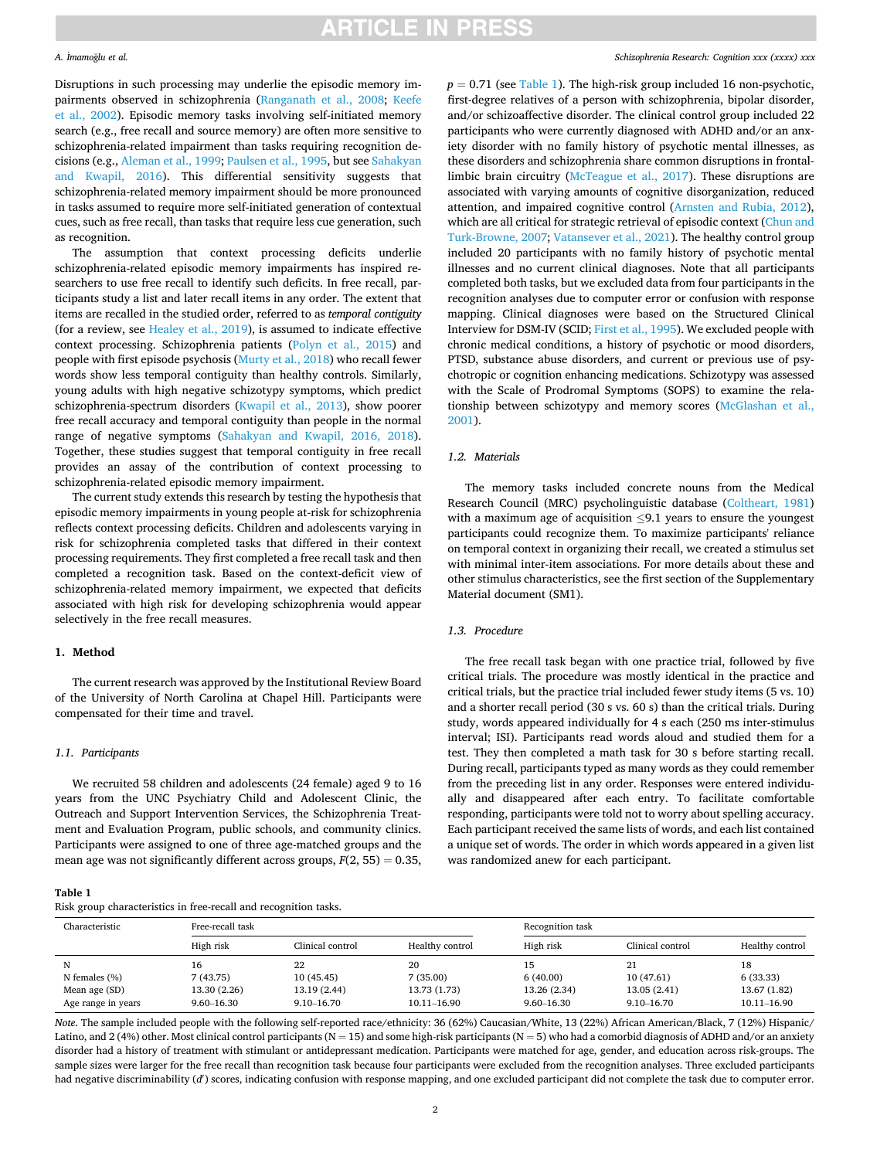# **ARTICLE IN PRESS**

### *A.* ˙ *Imamo*˘*glu et al.*

Disruptions in such processing may underlie the episodic memory impairments observed in schizophrenia [\(Ranganath et al., 2008](#page-5-0); [Keefe](#page-5-0)  [et al., 2002\)](#page-5-0). Episodic memory tasks involving self-initiated memory search (e.g., free recall and source memory) are often more sensitive to schizophrenia-related impairment than tasks requiring recognition decisions (e.g., [Aleman et al., 1999](#page-5-0); [Paulsen et al., 1995](#page-5-0), but see [Sahakyan](#page-6-0)  [and Kwapil, 2016](#page-6-0)). This differential sensitivity suggests that schizophrenia-related memory impairment should be more pronounced in tasks assumed to require more self-initiated generation of contextual cues, such as free recall, than tasks that require less cue generation, such as recognition.

The assumption that context processing deficits underlie schizophrenia-related episodic memory impairments has inspired researchers to use free recall to identify such deficits. In free recall, participants study a list and later recall items in any order. The extent that items are recalled in the studied order, referred to as *temporal contiguity*  (for a review, see [Healey et al., 2019\)](#page-5-0), is assumed to indicate effective context processing. Schizophrenia patients [\(Polyn et al., 2015](#page-5-0)) and people with first episode psychosis [\(Murty et al., 2018\)](#page-5-0) who recall fewer words show less temporal contiguity than healthy controls. Similarly, young adults with high negative schizotypy symptoms, which predict schizophrenia-spectrum disorders ([Kwapil et al., 2013\)](#page-5-0), show poorer free recall accuracy and temporal contiguity than people in the normal range of negative symptoms [\(Sahakyan and Kwapil, 2016, 2018](#page-6-0)). Together, these studies suggest that temporal contiguity in free recall provides an assay of the contribution of context processing to schizophrenia-related episodic memory impairment.

The current study extends this research by testing the hypothesis that episodic memory impairments in young people at-risk for schizophrenia reflects context processing deficits. Children and adolescents varying in risk for schizophrenia completed tasks that differed in their context processing requirements. They first completed a free recall task and then completed a recognition task. Based on the context-deficit view of schizophrenia-related memory impairment, we expected that deficits associated with high risk for developing schizophrenia would appear selectively in the free recall measures.

## **1. Method**

The current research was approved by the Institutional Review Board of the University of North Carolina at Chapel Hill. Participants were compensated for their time and travel.

# *1.1. Participants*

We recruited 58 children and adolescents (24 female) aged 9 to 16 years from the UNC Psychiatry Child and Adolescent Clinic, the Outreach and Support Intervention Services, the Schizophrenia Treatment and Evaluation Program, public schools, and community clinics. Participants were assigned to one of three age-matched groups and the mean age was not significantly different across groups,  $F(2, 55) = 0.35$ ,

| Table 1 |                                     |  |
|---------|-------------------------------------|--|
|         | Risk group characteristics in free- |  |

 $p = 0.71$  (see Table 1). The high-risk group included 16 non-psychotic, first-degree relatives of a person with schizophrenia, bipolar disorder, and/or schizoaffective disorder. The clinical control group included 22 participants who were currently diagnosed with ADHD and/or an anxiety disorder with no family history of psychotic mental illnesses, as these disorders and schizophrenia share common disruptions in frontallimbic brain circuitry [\(McTeague et al., 2017\)](#page-5-0). These disruptions are associated with varying amounts of cognitive disorganization, reduced attention, and impaired cognitive control ([Arnsten and Rubia, 2012](#page-5-0)), which are all critical for strategic retrieval of episodic context (Chun and [Turk-Browne, 2007;](#page-5-0) [Vatansever et al., 2021](#page-6-0)). The healthy control group included 20 participants with no family history of psychotic mental illnesses and no current clinical diagnoses. Note that all participants completed both tasks, but we excluded data from four participants in the recognition analyses due to computer error or confusion with response mapping. Clinical diagnoses were based on the Structured Clinical Interview for DSM-IV (SCID; [First et al., 1995](#page-5-0)). We excluded people with chronic medical conditions, a history of psychotic or mood disorders, PTSD, substance abuse disorders, and current or previous use of psychotropic or cognition enhancing medications. Schizotypy was assessed with the Scale of Prodromal Symptoms (SOPS) to examine the relationship between schizotypy and memory scores [\(McGlashan et al.,](#page-5-0)  [2001\)](#page-5-0).

## *1.2. Materials*

The memory tasks included concrete nouns from the Medical Research Council (MRC) psycholinguistic database ([Coltheart, 1981\)](#page-5-0) with a maximum age of acquisition  $\leq 9.1$  years to ensure the youngest participants could recognize them. To maximize participants' reliance on temporal context in organizing their recall, we created a stimulus set with minimal inter-item associations. For more details about these and other stimulus characteristics, see the first section of the Supplementary Material document (SM1).

# *1.3. Procedure*

The free recall task began with one practice trial, followed by five critical trials. The procedure was mostly identical in the practice and critical trials, but the practice trial included fewer study items (5 vs. 10) and a shorter recall period (30 s vs. 60 s) than the critical trials. During study, words appeared individually for 4 s each (250 ms inter-stimulus interval; ISI). Participants read words aloud and studied them for a test. They then completed a math task for 30 s before starting recall. During recall, participants typed as many words as they could remember from the preceding list in any order. Responses were entered individually and disappeared after each entry. To facilitate comfortable responding, participants were told not to worry about spelling accuracy. Each participant received the same lists of words, and each list contained a unique set of words. The order in which words appeared in a given list was randomized anew for each participant.

| Risk group characteristics in free-recall and recognition tasks. |                  |                  |                 |                  |                  |                 |  |
|------------------------------------------------------------------|------------------|------------------|-----------------|------------------|------------------|-----------------|--|
| Characteristic                                                   | Free-recall task |                  |                 | Recognition task |                  |                 |  |
|                                                                  | High risk        | Clinical control | Healthy control | High risk        | Clinical control | Healthy control |  |
| N                                                                | 16               | 22               | 20              | 15               | 21               | 18              |  |
| N females $(\% )$                                                | 7(43.75)         | 10(45.45)        | 7(35.00)        | 6(40.00)         | 10 (47.61)       | 6 (33.33)       |  |
| Mean age (SD)                                                    | 13.30 (2.26)     | 13.19 (2.44)     | 13.73 (1.73)    | 13.26 (2.34)     | 13.05 (2.41)     | 13.67 (1.82)    |  |
| Age range in years                                               | $9.60 - 16.30$   | $9.10 - 16.70$   | 10.11-16.90     | $9.60 - 16.30$   | $9.10 - 16.70$   | 10.11-16.90     |  |

*Note*. The sample included people with the following self-reported race/ethnicity: 36 (62%) Caucasian/White, 13 (22%) African American/Black, 7 (12%) Hispanic/ Latino, and 2 (4%) other. Most clinical control participants (N = 15) and some high-risk participants (N = 5) who had a comorbid diagnosis of ADHD and/or an anxiety disorder had a history of treatment with stimulant or antidepressant medication. Participants were matched for age, gender, and education across risk-groups. The sample sizes were larger for the free recall than recognition task because four participants were excluded from the recognition analyses. Three excluded participants had negative discriminability (d') scores, indicating confusion with response mapping, and one excluded participant did not complete the task due to computer error.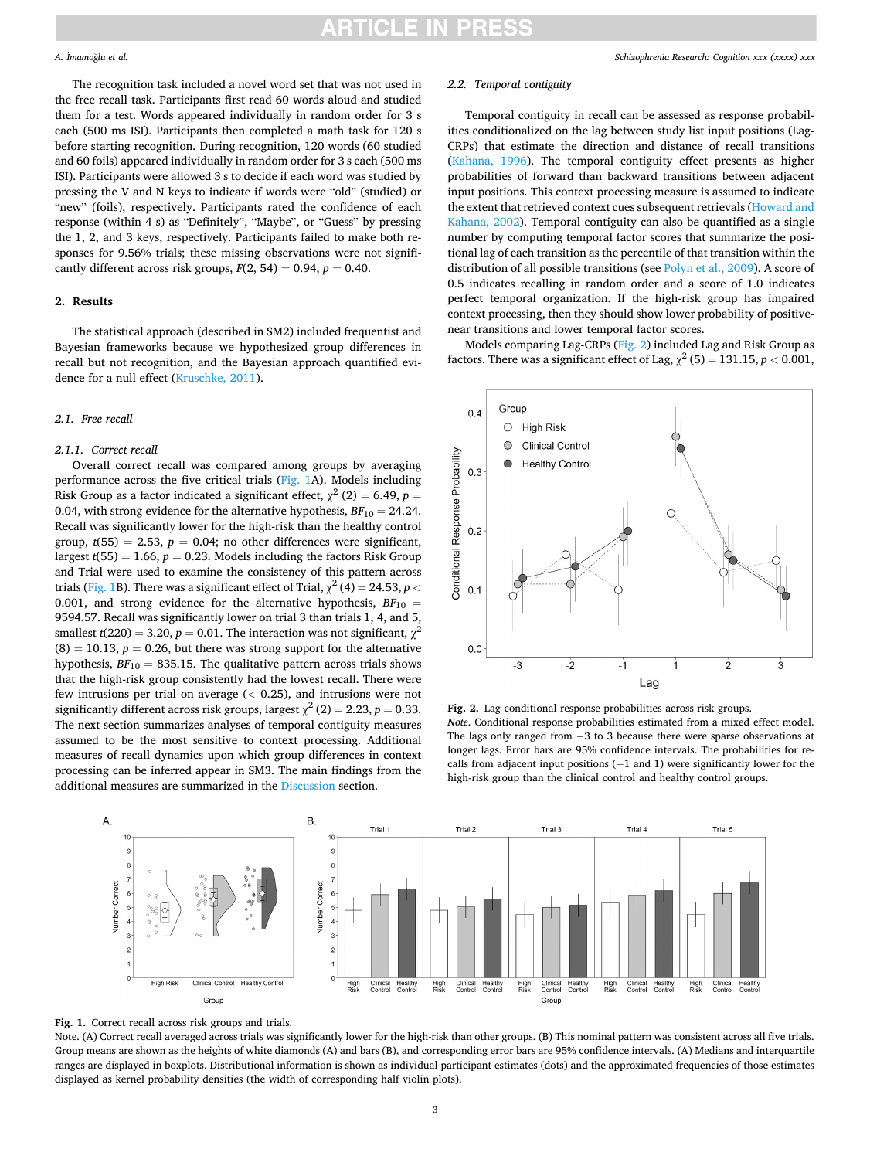# RTICLE IN

### *A.* ˙ *Imamo*˘*glu et al.*

The recognition task included a novel word set that was not used in the free recall task. Participants first read 60 words aloud and studied them for a test. Words appeared individually in random order for 3 s each (500 ms ISI). Participants then completed a math task for 120 s before starting recognition. During recognition, 120 words (60 studied and 60 foils) appeared individually in random order for 3 s each (500 ms ISI). Participants were allowed 3 s to decide if each word was studied by pressing the V and N keys to indicate if words were "old" (studied) or "new" (foils), respectively. Participants rated the confidence of each response (within 4 s) as "Definitely", "Maybe", or "Guess" by pressing the 1, 2, and 3 keys, respectively. Participants failed to make both responses for 9.56% trials; these missing observations were not significantly different across risk groups,  $F(2, 54) = 0.94$ ,  $p = 0.40$ .

## **2. Results**

The statistical approach (described in SM2) included frequentist and Bayesian frameworks because we hypothesized group differences in recall but not recognition, and the Bayesian approach quantified evidence for a null effect [\(Kruschke, 2011](#page-5-0)).

# *2.1. Free recall*

### *2.1.1. Correct recall*

Overall correct recall was compared among groups by averaging performance across the five critical trials (Fig. 1A). Models including Risk Group as a factor indicated a significant effect,  $\chi^2$  (2) = 6.49, *p* = 0.04, with strong evidence for the alternative hypothesis,  $BF_{10} = 24.24$ . Recall was significantly lower for the high-risk than the healthy control group,  $t(55) = 2.53$ ,  $p = 0.04$ ; no other differences were significant, largest  $t(55) = 1.66$ ,  $p = 0.23$ . Models including the factors Risk Group and Trial were used to examine the consistency of this pattern across trials (Fig. 1B). There was a significant effect of Trial,  $\chi^2$  (4) = 24.53, *p* < 0.001, and strong evidence for the alternative hypothesis,  $BF_{10}$  = 9594.57. Recall was significantly lower on trial 3 than trials 1, 4, and 5, smallest  $t(220) = 3.20$ ,  $p = 0.01$ . The interaction was not significant,  $\chi^2$  $(8) = 10.13$ ,  $p = 0.26$ , but there was strong support for the alternative hypothesis,  $BF_{10} = 835.15$ . The qualitative pattern across trials shows that the high-risk group consistently had the lowest recall. There were few intrusions per trial on average (*<* 0.25), and intrusions were not significantly different across risk groups, largest  $\chi^2$  (2) = 2.23, *p* = 0.33. The next section summarizes analyses of temporal contiguity measures assumed to be the most sensitive to context processing. Additional measures of recall dynamics upon which group differences in context processing can be inferred appear in SM3. The main findings from the additional measures are summarized in the [Discussion](#page-3-0) section.

## *2.2. Temporal contiguity*

Temporal contiguity in recall can be assessed as response probabilities conditionalized on the lag between study list input positions (Lag-CRPs) that estimate the direction and distance of recall transitions ([Kahana, 1996\)](#page-5-0). The temporal contiguity effect presents as higher probabilities of forward than backward transitions between adjacent input positions. This context processing measure is assumed to indicate the extent that retrieved context cues subsequent retrievals ([Howard and](#page-5-0)  [Kahana, 2002\)](#page-5-0). Temporal contiguity can also be quantified as a single number by computing temporal factor scores that summarize the positional lag of each transition as the percentile of that transition within the distribution of all possible transitions (see [Polyn et al., 2009](#page-5-0)). A score of 0.5 indicates recalling in random order and a score of 1.0 indicates perfect temporal organization. If the high-risk group has impaired context processing, then they should show lower probability of positivenear transitions and lower temporal factor scores.

Models comparing Lag-CRPs (Fig. 2) included Lag and Risk Group as factors. There was a significant effect of Lag,  $\chi^2$  (5) = 131.15, *p* < 0.001,



**Fig. 2.** Lag conditional response probabilities across risk groups. *Note*. Conditional response probabilities estimated from a mixed effect model. The lags only ranged from -3 to 3 because there were sparse observations at longer lags. Error bars are 95% confidence intervals. The probabilities for recalls from adjacent input positions (−1 and 1) were significantly lower for the high-risk group than the clinical control and healthy control groups.





Note. (A) Correct recall averaged across trials was significantly lower for the high-risk than other groups. (B) This nominal pattern was consistent across all five trials. Group means are shown as the heights of white diamonds (A) and bars (B), and corresponding error bars are 95% confidence intervals. (A) Medians and interquartile ranges are displayed in boxplots. Distributional information is shown as individual participant estimates (dots) and the approximated frequencies of those estimates displayed as kernel probability densities (the width of corresponding half violin plots).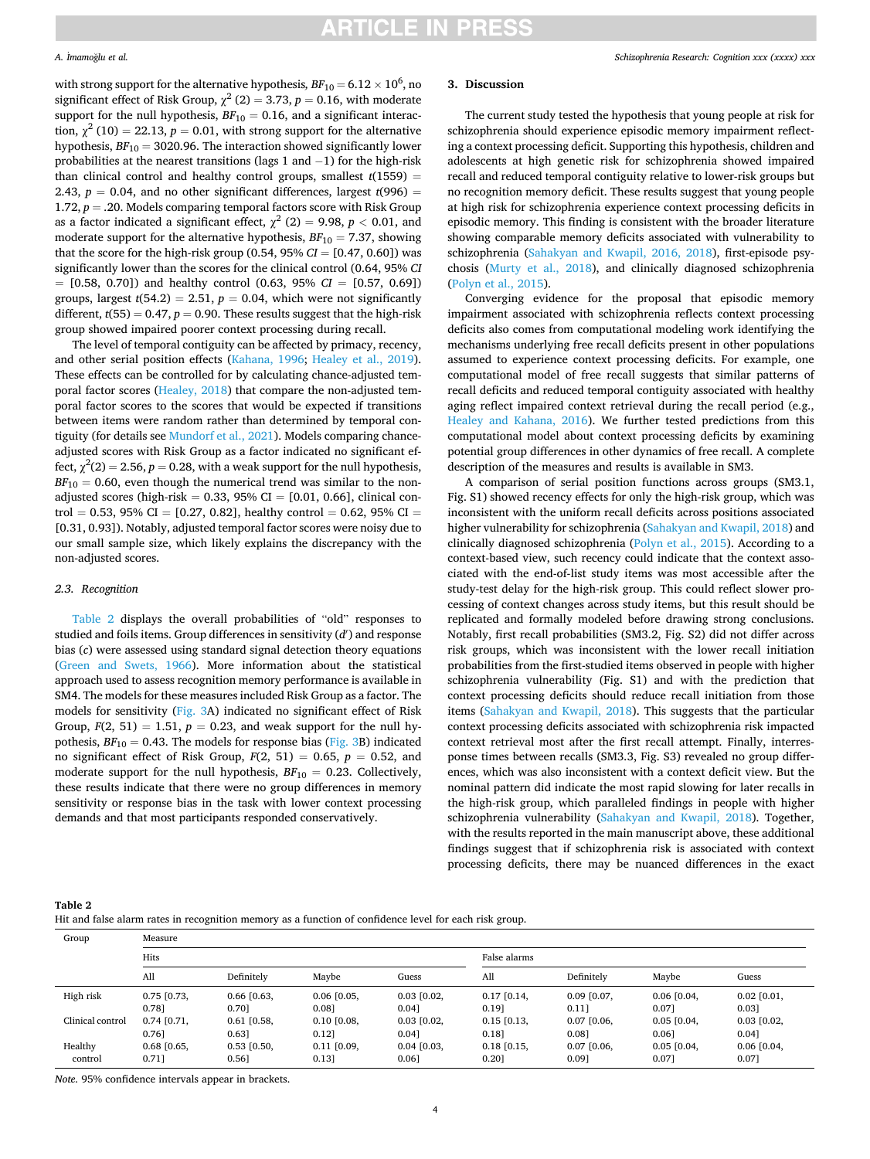### <span id="page-3-0"></span>*A.* ˙ *Imamo*˘*glu et al.*

with strong support for the alternative hypothesis,  $BF_{10}$  = 6.12  $\times$  10<sup>6</sup>, no significant effect of Risk Group,  $\chi^2$  (2) = 3.73, *p* = 0.16, with moderate support for the null hypothesis,  $BF_{10} = 0.16$ , and a significant interaction,  $\chi^2$  (10) = 22.13, *p* = 0.01, with strong support for the alternative hypothesis,  $BF_{10} = 3020.96$ . The interaction showed significantly lower probabilities at the nearest transitions (lags 1 and −1) for the high-risk than clinical control and healthy control groups, smallest  $t(1559)$  = 2.43,  $p = 0.04$ , and no other significant differences, largest  $t(996) =$ 1.72,  $p = 0.20$ . Models comparing temporal factors score with Risk Group as a factor indicated a significant effect,  $\chi^2$  (2) = 9.98, *p* < 0.01, and moderate support for the alternative hypothesis,  $BF_{10} = 7.37$ , showing that the score for the high-risk group  $(0.54, 95\% \text{ CI} = [0.47, 0.60])$  was significantly lower than the scores for the clinical control (0.64, 95% *CI*  = [0.58, 0.70]) and healthy control (0.63, 95% *CI* = [0.57, 0.69]) groups, largest  $t(54.2) = 2.51$ ,  $p = 0.04$ , which were not significantly different,  $t(55) = 0.47$ ,  $p = 0.90$ . These results suggest that the high-risk group showed impaired poorer context processing during recall.

The level of temporal contiguity can be affected by primacy, recency, and other serial position effects ([Kahana, 1996](#page-5-0); [Healey et al., 2019](#page-5-0)). These effects can be controlled for by calculating chance-adjusted temporal factor scores ([Healey, 2018\)](#page-5-0) that compare the non-adjusted temporal factor scores to the scores that would be expected if transitions between items were random rather than determined by temporal contiguity (for details see [Mundorf et al., 2021\)](#page-5-0). Models comparing chanceadjusted scores with Risk Group as a factor indicated no significant effect,  $\chi^2(2) = 2.56$ ,  $p = 0.28$ , with a weak support for the null hypothesis,  $BF_{10} = 0.60$ , even though the numerical trend was similar to the nonadjusted scores (high-risk =  $0.33$ , 95% CI =  $[0.01, 0.66]$ , clinical control = 0.53, 95% CI = [0.27, 0.82], healthy control = 0.62, 95% CI = [0.31, 0.93]). Notably, adjusted temporal factor scores were noisy due to our small sample size, which likely explains the discrepancy with the non-adjusted scores.

## *2.3. Recognition*

Table 2 displays the overall probabilities of "old" responses to studied and foils items. Group differences in sensitivity (*d*′ ) and response bias (*c*) were assessed using standard signal detection theory equations ([Green and Swets, 1966](#page-5-0)). More information about the statistical approach used to assess recognition memory performance is available in SM4. The models for these measures included Risk Group as a factor. The models for sensitivity [\(Fig. 3A](#page-4-0)) indicated no significant effect of Risk Group,  $F(2, 51) = 1.51$ ,  $p = 0.23$ , and weak support for the null hypothesis,  $BF_{10} = 0.43$ . The models for response bias ([Fig. 3B](#page-4-0)) indicated no significant effect of Risk Group,  $F(2, 51) = 0.65$ ,  $p = 0.52$ , and moderate support for the null hypothesis,  $BF_{10} = 0.23$ . Collectively, these results indicate that there were no group differences in memory sensitivity or response bias in the task with lower context processing demands and that most participants responded conservatively.

# **3. Discussion**

The current study tested the hypothesis that young people at risk for schizophrenia should experience episodic memory impairment reflecting a context processing deficit. Supporting this hypothesis, children and adolescents at high genetic risk for schizophrenia showed impaired recall and reduced temporal contiguity relative to lower-risk groups but no recognition memory deficit. These results suggest that young people at high risk for schizophrenia experience context processing deficits in episodic memory. This finding is consistent with the broader literature showing comparable memory deficits associated with vulnerability to schizophrenia [\(Sahakyan and Kwapil, 2016, 2018\)](#page-6-0), first-episode psychosis [\(Murty et al., 2018](#page-5-0)), and clinically diagnosed schizophrenia ([Polyn et al., 2015](#page-5-0)).

Converging evidence for the proposal that episodic memory impairment associated with schizophrenia reflects context processing deficits also comes from computational modeling work identifying the mechanisms underlying free recall deficits present in other populations assumed to experience context processing deficits. For example, one computational model of free recall suggests that similar patterns of recall deficits and reduced temporal contiguity associated with healthy aging reflect impaired context retrieval during the recall period (e.g., [Healey and Kahana, 2016\)](#page-5-0). We further tested predictions from this computational model about context processing deficits by examining potential group differences in other dynamics of free recall. A complete description of the measures and results is available in SM3.

A comparison of serial position functions across groups (SM3.1, Fig. S1) showed recency effects for only the high-risk group, which was inconsistent with the uniform recall deficits across positions associated higher vulnerability for schizophrenia [\(Sahakyan and Kwapil, 2018\)](#page-6-0) and clinically diagnosed schizophrenia [\(Polyn et al., 2015\)](#page-5-0). According to a context-based view, such recency could indicate that the context associated with the end-of-list study items was most accessible after the study-test delay for the high-risk group. This could reflect slower processing of context changes across study items, but this result should be replicated and formally modeled before drawing strong conclusions. Notably, first recall probabilities (SM3.2, Fig. S2) did not differ across risk groups, which was inconsistent with the lower recall initiation probabilities from the first-studied items observed in people with higher schizophrenia vulnerability (Fig. S1) and with the prediction that context processing deficits should reduce recall initiation from those items ([Sahakyan and Kwapil, 2018\)](#page-6-0). This suggests that the particular context processing deficits associated with schizophrenia risk impacted context retrieval most after the first recall attempt. Finally, interresponse times between recalls (SM3.3, Fig. S3) revealed no group differences, which was also inconsistent with a context deficit view. But the nominal pattern did indicate the most rapid slowing for later recalls in the high-risk group, which paralleled findings in people with higher schizophrenia vulnerability ([Sahakyan and Kwapil, 2018\)](#page-6-0). Together, with the results reported in the main manuscript above, these additional findings suggest that if schizophrenia risk is associated with context processing deficits, there may be nuanced differences in the exact

| н |  |
|---|--|
|---|--|

Hit and false alarm rates in recognition memory as a function of confidence level for each risk group.

| Group            | Measure       |               |                 |                 |                 |                 |                 |                 |
|------------------|---------------|---------------|-----------------|-----------------|-----------------|-----------------|-----------------|-----------------|
|                  | Hits          |               |                 | False alarms    |                 |                 |                 |                 |
|                  | All           | Definitely    | Maybe           | Guess           | All             | Definitely      | Maybe           | Guess           |
| High risk        | $0.75$ [0.73, | $0.66$ [0.63, | $0.06$ [0.05,   | $0.03$ [0.02,   | $0.17$ $[0.14]$ | $0.09$ [0.07,   | $0.06$ [0.04,   | $0.02$ [0.01,   |
|                  | 0.781         | 0.701         | 0.081           | 0.041           | 0.191           | 0.111           | 0.071           | 0.031           |
| Clinical control | $0.74$ [0.71, | $0.61$ [0.58, | $0.10$ $[0.08,$ | $0.03$ $[0.02,$ | $0.15$ $[0.13,$ | $0.07$ $[0.06,$ | $0.05$ [0.04,   | $0.03$ $[0.02,$ |
|                  | 0.761         | 0.631         | 0.121           | 0.041           | 0.181           | 0.081           | 0.061           | 0.041           |
| Healthy          | $0.68$ [0.65, | $0.53$ [0.50, | $0.11$ $[0.09,$ | $0.04$ [0.03,   | $0.18$ [0.15,   | $0.07$ $[0.06,$ | $0.05$ $[0.04,$ | $0.06$ [0.04,   |
| control          | 0.711         | 0.561         | 0.131           | 0.061           | 0.201           | 0.091           | 0.071           | 0.071           |

*Note*. 95% confidence intervals appear in brackets.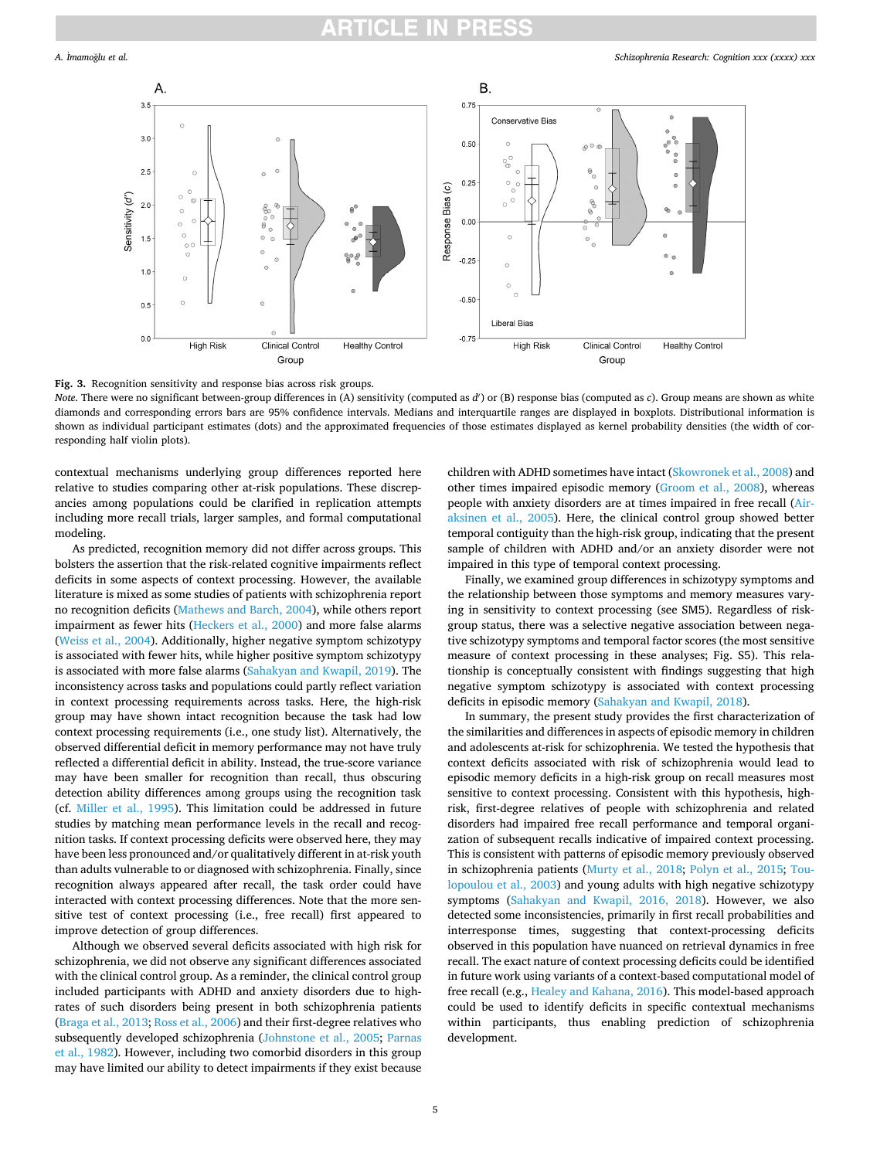<span id="page-4-0"></span>

**Fig. 3.** Recognition sensitivity and response bias across risk groups.

*Note*. There were no significant between-group differences in (A) sensitivity (computed as *d*′ ) or (B) response bias (computed as *c*). Group means are shown as white diamonds and corresponding errors bars are 95% confidence intervals. Medians and interquartile ranges are displayed in boxplots. Distributional information is shown as individual participant estimates (dots) and the approximated frequencies of those estimates displayed as kernel probability densities (the width of corresponding half violin plots).

contextual mechanisms underlying group differences reported here relative to studies comparing other at-risk populations. These discrepancies among populations could be clarified in replication attempts including more recall trials, larger samples, and formal computational modeling.

As predicted, recognition memory did not differ across groups. This bolsters the assertion that the risk-related cognitive impairments reflect deficits in some aspects of context processing. However, the available literature is mixed as some studies of patients with schizophrenia report no recognition deficits ([Mathews and Barch, 2004\)](#page-5-0), while others report impairment as fewer hits [\(Heckers et al., 2000](#page-5-0)) and more false alarms ([Weiss et al., 2004](#page-6-0)). Additionally, higher negative symptom schizotypy is associated with fewer hits, while higher positive symptom schizotypy is associated with more false alarms [\(Sahakyan and Kwapil, 2019\)](#page-6-0). The inconsistency across tasks and populations could partly reflect variation in context processing requirements across tasks. Here, the high-risk group may have shown intact recognition because the task had low context processing requirements (i.e., one study list). Alternatively, the observed differential deficit in memory performance may not have truly reflected a differential deficit in ability. Instead, the true-score variance may have been smaller for recognition than recall, thus obscuring detection ability differences among groups using the recognition task (cf. [Miller et al., 1995](#page-5-0)). This limitation could be addressed in future studies by matching mean performance levels in the recall and recognition tasks. If context processing deficits were observed here, they may have been less pronounced and/or qualitatively different in at-risk youth than adults vulnerable to or diagnosed with schizophrenia. Finally, since recognition always appeared after recall, the task order could have interacted with context processing differences. Note that the more sensitive test of context processing (i.e., free recall) first appeared to improve detection of group differences.

Although we observed several deficits associated with high risk for schizophrenia, we did not observe any significant differences associated with the clinical control group. As a reminder, the clinical control group included participants with ADHD and anxiety disorders due to highrates of such disorders being present in both schizophrenia patients ([Braga et al., 2013; Ross et al., 2006](#page-5-0)) and their first-degree relatives who subsequently developed schizophrenia [\(Johnstone et al., 2005](#page-5-0); [Parnas](#page-5-0)  [et al., 1982\)](#page-5-0). However, including two comorbid disorders in this group may have limited our ability to detect impairments if they exist because children with ADHD sometimes have intact ([Skowronek et al., 2008\)](#page-6-0) and other times impaired episodic memory ([Groom et al., 2008](#page-5-0)), whereas people with anxiety disorders are at times impaired in free recall [\(Air](#page-5-0)[aksinen et al., 2005](#page-5-0)). Here, the clinical control group showed better temporal contiguity than the high-risk group, indicating that the present sample of children with ADHD and/or an anxiety disorder were not impaired in this type of temporal context processing.

Finally, we examined group differences in schizotypy symptoms and the relationship between those symptoms and memory measures varying in sensitivity to context processing (see SM5). Regardless of riskgroup status, there was a selective negative association between negative schizotypy symptoms and temporal factor scores (the most sensitive measure of context processing in these analyses; Fig. S5). This relationship is conceptually consistent with findings suggesting that high negative symptom schizotypy is associated with context processing deficits in episodic memory ([Sahakyan and Kwapil, 2018](#page-6-0)).

In summary, the present study provides the first characterization of the similarities and differences in aspects of episodic memory in children and adolescents at-risk for schizophrenia. We tested the hypothesis that context deficits associated with risk of schizophrenia would lead to episodic memory deficits in a high-risk group on recall measures most sensitive to context processing. Consistent with this hypothesis, highrisk, first-degree relatives of people with schizophrenia and related disorders had impaired free recall performance and temporal organization of subsequent recalls indicative of impaired context processing. This is consistent with patterns of episodic memory previously observed in schizophrenia patients ([Murty et al., 2018](#page-5-0); [Polyn et al., 2015](#page-5-0); [Tou](#page-6-0)[lopoulou et al., 2003](#page-6-0)) and young adults with high negative schizotypy symptoms ([Sahakyan and Kwapil, 2016, 2018](#page-6-0)). However, we also detected some inconsistencies, primarily in first recall probabilities and interresponse times, suggesting that context-processing deficits observed in this population have nuanced on retrieval dynamics in free recall. The exact nature of context processing deficits could be identified in future work using variants of a context-based computational model of free recall (e.g., [Healey and Kahana, 2016\)](#page-5-0). This model-based approach could be used to identify deficits in specific contextual mechanisms within participants, thus enabling prediction of schizophrenia development.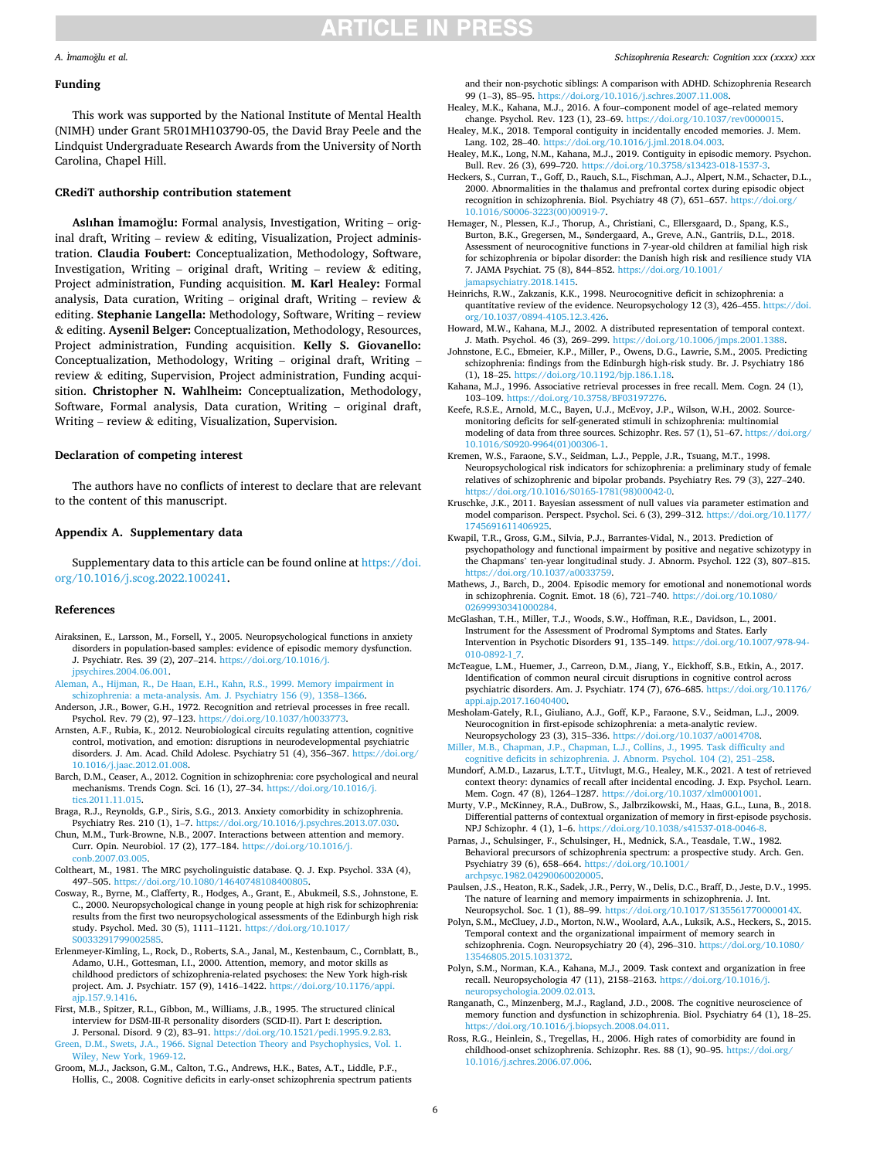# **ARTICLE IN PRESS**

### <span id="page-5-0"></span>*A.* ˙ *Imamo*˘*glu et al.*

### **Funding**

This work was supported by the National Institute of Mental Health (NIMH) under Grant 5R01MH103790-05, the David Bray Peele and the Lindquist Undergraduate Research Awards from the University of North Carolina, Chapel Hill.

# **CRediT authorship contribution statement**

Aslıhan İmamoğlu: Formal analysis, Investigation, Writing - original draft, Writing – review  $\&$  editing, Visualization, Project administration. **Claudia Foubert:** Conceptualization, Methodology, Software, Investigation, Writing – original draft, Writing – review  $\&$  editing, Project administration, Funding acquisition. **M. Karl Healey:** Formal analysis, Data curation, Writing – original draft, Writing – review  $\&$ editing. **Stephanie Langella:** Methodology, Software, Writing – review & editing. **Aysenil Belger:** Conceptualization, Methodology, Resources, Project administration, Funding acquisition. **Kelly S. Giovanello:**  Conceptualization, Methodology, Writing – original draft, Writing – review & editing, Supervision, Project administration, Funding acquisition. **Christopher N. Wahlheim:** Conceptualization, Methodology, Software, Formal analysis, Data curation, Writing – original draft, Writing – review & editing, Visualization, Supervision.

### **Declaration of competing interest**

The authors have no conflicts of interest to declare that are relevant to the content of this manuscript.

## **Appendix A. Supplementary data**

Supplementary data to this article can be found online at [https://doi.](https://doi.org/10.1016/j.scog.2022.100241)  [org/10.1016/j.scog.2022.100241.](https://doi.org/10.1016/j.scog.2022.100241)

### **References**

- Airaksinen, E., Larsson, M., Forsell, Y., 2005. Neuropsychological functions in anxiety disorders in population-based samples: evidence of episodic memory dysfunction. J. Psychiatr. Res. 39 (2), 207–214. [https://doi.org/10.1016/j.](https://doi.org/10.1016/j.jpsychires.2004.06.001)  [jpsychires.2004.06.001](https://doi.org/10.1016/j.jpsychires.2004.06.001).
- [Aleman, A., Hijman, R., De Haan, E.H., Kahn, R.S., 1999. Memory impairment in](http://refhub.elsevier.com/S2215-0013(22)00006-3/rf202202050752321299)  [schizophrenia: a meta-analysis. Am. J. Psychiatry 156 \(9\), 1358](http://refhub.elsevier.com/S2215-0013(22)00006-3/rf202202050752321299)–1366.
- Anderson, J.R., Bower, G.H., 1972. Recognition and retrieval processes in free recall. Psychol. Rev. 79 (2), 97–123. [https://doi.org/10.1037/h0033773.](https://doi.org/10.1037/h0033773)
- Arnsten, A.F., Rubia, K., 2012. Neurobiological circuits regulating attention, cognitive control, motivation, and emotion: disruptions in neurodevelopmental psychiatric disorders. J. Am. Acad. Child Adolesc. Psychiatry 51 (4), 356–367. [https://doi.org/](https://doi.org/10.1016/j.jaac.2012.01.008)  [10.1016/j.jaac.2012.01.008.](https://doi.org/10.1016/j.jaac.2012.01.008)
- Barch, D.M., Ceaser, A., 2012. Cognition in schizophrenia: core psychological and neural mechanisms. Trends Cogn. Sci. 16 (1), 27–34. [https://doi.org/10.1016/j.](https://doi.org/10.1016/j.tics.2011.11.015) [tics.2011.11.015.](https://doi.org/10.1016/j.tics.2011.11.015)
- Braga, R.J., Reynolds, G.P., Siris, S.G., 2013. Anxiety comorbidity in schizophrenia. Psychiatry Res. 210 (1), 1–7. [https://doi.org/10.1016/j.psychres.2013.07.030.](https://doi.org/10.1016/j.psychres.2013.07.030)
- Chun, M.M., Turk-Browne, N.B., 2007. Interactions between attention and memory. Curr. Opin. Neurobiol. 17 (2), 177–184. [https://doi.org/10.1016/j.](https://doi.org/10.1016/j.conb.2007.03.005)  [conb.2007.03.005.](https://doi.org/10.1016/j.conb.2007.03.005)
- Coltheart, M., 1981. The MRC psycholinguistic database. Q. J. Exp. Psychol. 33A (4), 497–505. https://doi.org/10.1080/1464074810840080
- Cosway, R., Byrne, M., Clafferty, R., Hodges, A., Grant, E., Abukmeil, S.S., Johnstone, E. C., 2000. Neuropsychological change in young people at high risk for schizophrenia: results from the first two neuropsychological assessments of the Edinburgh high risk study. Psychol. Med. 30 (5), 1111–1121. [https://doi.org/10.1017/](https://doi.org/10.1017/S0033291799002585)  [S0033291799002585](https://doi.org/10.1017/S0033291799002585).
- Erlenmeyer-Kimling, L., Rock, D., Roberts, S.A., Janal, M., Kestenbaum, C., Cornblatt, B., Adamo, U.H., Gottesman, I.I., 2000. Attention, memory, and motor skills as childhood predictors of schizophrenia-related psychoses: the New York high-risk project. Am. J. Psychiatr. 157 (9), 1416-1422. https://doi.org/10.1176/ p.157.9.1416.
- First, M.B., Spitzer, R.L., Gibbon, M., Williams, J.B., 1995. The structured clinical interview for DSM-III-R personality disorders (SCID-II). Part I: description. J. Personal. Disord. 9 (2), 83–91.<https://doi.org/10.1521/pedi.1995.9.2.83>.
- [Green, D.M., Swets, J.A., 1966. Signal Detection Theory and Psychophysics, Vol. 1.](http://refhub.elsevier.com/S2215-0013(22)00006-3/rf202202050753212177) [Wiley, New York, 1969-12](http://refhub.elsevier.com/S2215-0013(22)00006-3/rf202202050753212177).
- Groom, M.J., Jackson, G.M., Calton, T.G., Andrews, H.K., Bates, A.T., Liddle, P.F., Hollis, C., 2008. Cognitive deficits in early-onset schizophrenia spectrum patients

#### *Schizophrenia Research: Cognition xxx (xxxx) xxx*

and their non-psychotic siblings: A comparison with ADHD. Schizophrenia Research 99 (1–3), 85–95. [https://doi.org/10.1016/j.schres.2007.11.008.](https://doi.org/10.1016/j.schres.2007.11.008)

- Healey, M.K., Kahana, M.J., 2016. A four–component model of age–related memory change. Psychol. Rev. 123 (1), 23–69. <https://doi.org/10.1037/rev0000015>. Healey, M.K., 2018. Temporal contiguity in incidentally encoded memories. J. Mem.
- Lang. 102, 28–40. <https://doi.org/10.1016/j.jml.2018.04.003>. Healey, M.K., Long, N.M., Kahana, M.J., 2019. Contiguity in episodic memory. Psychon.
- Bull. Rev. 26 (3), 699-720. https://doi.org/10.3758/s13423-018-1537-Heckers, S., Curran, T., Goff, D., Rauch, S.L., Fischman, A.J., Alpert, N.M., Schacter, D.L.,
- 2000. Abnormalities in the thalamus and prefrontal cortex during episodic object recognition in schizophrenia. Biol. Psychiatry 48 (7), 651-657. https://doi.org [10.1016/S0006-3223\(00\)00919-7.](https://doi.org/10.1016/S0006-3223(00)00919-7)
- Hemager, N., Plessen, K.J., Thorup, A., Christiani, C., Ellersgaard, D., Spang, K.S., Burton, B.K., Gregersen, M., Søndergaard, A., Greve, A.N., Gantriis, D.L., 2018. Assessment of neurocognitive functions in 7-year-old children at familial high risk for schizophrenia or bipolar disorder: the Danish high risk and resilience study VIA 7. JAMA Psychiat. 75 (8), 844–852. [https://doi.org/10.1001/](https://doi.org/10.1001/jamapsychiatry.2018.1415)  [jamapsychiatry.2018.1415.](https://doi.org/10.1001/jamapsychiatry.2018.1415)
- Heinrichs, R.W., Zakzanis, K.K., 1998. Neurocognitive deficit in schizophrenia: a quantitative review of the evidence. Neuropsychology 12 (3), 426–455. [https://doi.](https://doi.org/10.1037/0894-4105.12.3.426)  [org/10.1037/0894-4105.12.3.426](https://doi.org/10.1037/0894-4105.12.3.426).
- Howard, M.W., Kahana, M.J., 2002. A distributed representation of temporal context. J. Math. Psychol. 46 (3), 269-299. https://doi.org/10.1006/jmps.2001.138.
- Johnstone, E.C., Ebmeier, K.P., Miller, P., Owens, D.G., Lawrie, S.M., 2005. Predicting schizophrenia: findings from the Edinburgh high-risk study. Br. J. Psychiatry 186 (1), 18–25. [https://doi.org/10.1192/bjp.186.1.18.](https://doi.org/10.1192/bjp.186.1.18)
- Kahana, M.J., 1996. Associative retrieval processes in free recall. Mem. Cogn. 24 (1), 103–109. <https://doi.org/10.3758/BF03197276>.
- Keefe, R.S.E., Arnold, M.C., Bayen, U.J., McEvoy, J.P., Wilson, W.H., 2002. Sourcemonitoring deficits for self-generated stimuli in schizophrenia: multinomial modeling of data from three sources. Schizophr. Res. 57 (1), 51–67. [https://doi.org/](https://doi.org/10.1016/S0920-9964(01)00306-1)  [10.1016/S0920-9964\(01\)00306-1.](https://doi.org/10.1016/S0920-9964(01)00306-1)
- Kremen, W.S., Faraone, S.V., Seidman, L.J., Pepple, J.R., Tsuang, M.T., 1998. Neuropsychological risk indicators for schizophrenia: a preliminary study of female relatives of schizophrenic and bipolar probands. Psychiatry Res. 79 (3), 227–240. [https://doi.org/10.1016/S0165-1781\(98\)00042-0.](https://doi.org/10.1016/S0165-1781(98)00042-0)
- Kruschke, J.K., 2011. Bayesian assessment of null values via parameter estimation and model comparison. Perspect. Psychol. Sci. 6 (3), 299–312. [https://doi.org/10.1177/](https://doi.org/10.1177/1745691611406925)  174569161140692
- Kwapil, T.R., Gross, G.M., Silvia, P.J., Barrantes-Vidal, N., 2013. Prediction of psychopathology and functional impairment by positive and negative schizotypy in the Chapmans' ten-year longitudinal study. J. Abnorm. Psychol. 122 (3), 807–815. [https://doi.org/10.1037/a0033759.](https://doi.org/10.1037/a0033759)
- Mathews, J., Barch, D., 2004. Episodic memory for emotional and nonemotional words in schizophrenia. Cognit. Emot. 18 (6), 721–740. [https://doi.org/10.1080/](https://doi.org/10.1080/02699930341000284) [02699930341000284.](https://doi.org/10.1080/02699930341000284)
- McGlashan, T.H., Miller, T.J., Woods, S.W., Hoffman, R.E., Davidson, L., 2001. Instrument for the Assessment of Prodromal Symptoms and States. Early Intervention in Psychotic Disorders 91, 135–149. [https://doi.org/10.1007/978-94-](https://doi.org/10.1007/978-94-010-0892-1_7) [010-0892-1\\_7](https://doi.org/10.1007/978-94-010-0892-1_7)
- McTeague, L.M., Huemer, J., Carreon, D.M., Jiang, Y., Eickhoff, S.B., Etkin, A., 2017. Identification of common neural circuit disruptions in cognitive control across psychiatric disorders. Am. J. Psychiatr. 174 (7), 676–685. [https://doi.org/10.1176/](https://doi.org/10.1176/appi.ajp.2017.16040400)  [appi.ajp.2017.16040400.](https://doi.org/10.1176/appi.ajp.2017.16040400)
- Mesholam-Gately, R.I., Giuliano, A.J., Goff, K.P., Faraone, S.V., Seidman, L.J., 2009. Neurocognition in first-episode schizophrenia: a meta-analytic review. Neuropsychology 23 (3), 315–336. <https://doi.org/10.1037/a0014708>.

[Miller, M.B., Chapman, J.P., Chapman, L.J., Collins, J., 1995. Task difficulty and](http://refhub.elsevier.com/S2215-0013(22)00006-3/rf202202050755130861)  [cognitive deficits in schizophrenia. J. Abnorm. Psychol. 104 \(2\), 251](http://refhub.elsevier.com/S2215-0013(22)00006-3/rf202202050755130861)–258.

- Mundorf, A.M.D., Lazarus, L.T.T., Uitvlugt, M.G., Healey, M.K., 2021. A test of retrieved context theory: dynamics of recall after incidental encoding. J. Exp. Psychol. Learn. Mem. Cogn. 47 (8), 1264–1287. [https://doi.org/10.1037/xlm0001001.](https://doi.org/10.1037/xlm0001001)
- Murty, V.P., McKinney, R.A., DuBrow, S., Jalbrzikowski, M., Haas, G.L., Luna, B., 2018. Differential patterns of contextual organization of memory in first-episode psychosis. NPJ Schizophr. 4 (1), 1–6.<https://doi.org/10.1038/s41537-018-0046-8>.
- Parnas, J., Schulsinger, F., Schulsinger, H., Mednick, S.A., Teasdale, T.W., 1982. Behavioral precursors of schizophrenia spectrum: a prospective study. Arch. Gen. Psychiatry 39 (6), 658–664. [https://doi.org/10.1001/](https://doi.org/10.1001/archpsyc.1982.04290060020005) [archpsyc.1982.04290060020005.](https://doi.org/10.1001/archpsyc.1982.04290060020005)
- Paulsen, J.S., Heaton, R.K., Sadek, J.R., Perry, W., Delis, D.C., Braff, D., Jeste, D.V., 1995. The nature of learning and memory impairments in schizophrenia. J. Int. Neuropsychol. Soc. 1 (1), 88–99.<https://doi.org/10.1017/S135561770000014X>.
- Polyn, S.M., McCluey, J.D., Morton, N.W., Woolard, A.A., Luksik, A.S., Heckers, S., 2015. Temporal context and the organizational impairment of memory search in schizophrenia. Cogn. Neuropsychiatry 20 (4), 296–310. [https://doi.org/10.1080/](https://doi.org/10.1080/13546805.2015.1031372)  [13546805.2015.1031372](https://doi.org/10.1080/13546805.2015.1031372).
- Polyn, S.M., Norman, K.A., Kahana, M.J., 2009. Task context and organization in free recall. Neuropsychologia 47 (11), 2158–2163. [https://doi.org/10.1016/j.](https://doi.org/10.1016/j.neuropsychologia.2009.02.013) [neuropsychologia.2009.02.013](https://doi.org/10.1016/j.neuropsychologia.2009.02.013).
- Ranganath, C., Minzenberg, M.J., Ragland, J.D., 2008. The cognitive neuroscience of memory function and dysfunction in schizophrenia. Biol. Psychiatry 64 (1), 18–25. [https://doi.org/10.1016/j.biopsych.2008.04.011.](https://doi.org/10.1016/j.biopsych.2008.04.011)
- Ross, R.G., Heinlein, S., Tregellas, H., 2006. High rates of comorbidity are found in childhood-onset schizophrenia. Schizophr. Res. 88 (1), 90–95. [https://doi.org/](https://doi.org/10.1016/j.schres.2006.07.006)  [10.1016/j.schres.2006.07.006.](https://doi.org/10.1016/j.schres.2006.07.006)